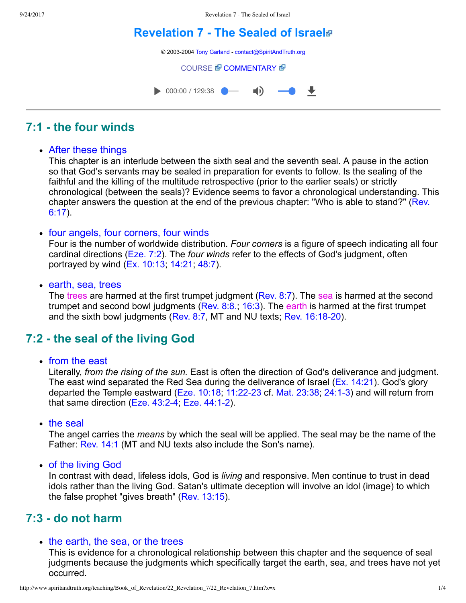# **[Revelation 7 The Sealed of Israel](http://www.spiritandtruth.org/teaching/Book_of_Revelation/22_Revelation_7/index.htm)**

© 2003-2004 [Tony Garland](http://www.spiritandtruth.org/teaching/teachers/tony_garland/bio.htm) - [contact@SpiritAndTruth.org](mailto:contact@SpiritAndTruth.org?subject=ST-MAIL:%20Revelation%207%20-%20The%20Sealed%20of%20Israel)

#### **[COURSE](http://www.spiritandtruth.org/teaching/Book_of_Revelation/22_Revelation_7/index.htm) & [COMMENTARY](http://www.spiritandtruth.org/teaching/Book_of_Revelation/commentary/htm/index.html?Revelation_7) &**



# **7:1 the four winds**

#### After these things

This chapter is an interlude between the sixth seal and the seventh seal. A pause in the action so that God's servants may be sealed in preparation for events to follow. Is the sealing of the faithful and the killing of the multitude retrospective (prior to the earlier seals) or strictly chronological (between the seals)? Evidence seems to favor a chronological understanding. This [chapter answers the question at the end of the previous chapter: "Who is able to stand?" \(Rev.](http://www.spiritandtruth.org/bibles/nasb/b66c006.htm#Rev._C6V17) 6:17).

#### • four angels, four corners, four winds

Four is the number of worldwide distribution. *Four corners* is a figure of speech indicating all four cardinal directions [\(Eze. 7:2](http://www.spiritandtruth.org/bibles/nasb/b26c007.htm#Eze._C7V2)). The *four winds* refer to the effects of God's judgment, often portrayed by wind [\(Ex. 10:13;](http://www.spiritandtruth.org/bibles/nasb/b02c010.htm#Ex._C10V13) [14:21;](http://www.spiritandtruth.org/bibles/nasb/b02c014.htm#Ex._C14V21) [48:7\)](http://www.spiritandtruth.org/bibles/nasb/b19c048.htm#Ps._C48V7).

• earth, sea, trees

The trees are harmed at the first trumpet judgment ([Rev. 8:7\)](http://www.spiritandtruth.org/bibles/nasb/b66c008.htm#Rev._C8V7). The sea is harmed at the second trumpet and second bowl judgments [\(Rev. 8:8.;](http://www.spiritandtruth.org/bibles/nasb/b66c008.htm#Rev._C8V8) [16:3\)](http://www.spiritandtruth.org/bibles/nasb/b66c016.htm#Rev._C16V3). The earth is harmed at the first trumpet and the sixth bowl judgments [\(Rev. 8:7](http://www.spiritandtruth.org/bibles/nasb/b66c008.htm#Rev._C8V7), MT and NU texts; Rev. 16:18-20).

# **7:2 the seal of the living God**

from the east

Literally, *from the rising of the sun.* East is often the direction of God's deliverance and judgment. The east wind separated the Red Sea during the deliverance of Israel ([Ex. 14:21](http://www.spiritandtruth.org/bibles/nasb/b02c014.htm#Ex._C14V21)). God's glory departed the Temple eastward (Eze.  $10:18$ ,  $11:22-23$  cf. Mat. 23:38, 24:1-3) and will return from that same direction (Eze.  $43:2-4$ ; Eze.  $44:1-2$ ).

• the seal

The angel carries the *means* by which the seal will be applied. The seal may be the name of the Father: [Rev. 14:1](http://www.spiritandtruth.org/bibles/nasb/b66c014.htm#Rev._C14V1) (MT and NU texts also include the Son's name).

of the living God

In contrast with dead, lifeless idols, God is *living* and responsive. Men continue to trust in dead idols rather than the living God. Satan's ultimate deception will involve an idol (image) to which the false prophet "gives breath" [\(Rev. 13:15](http://www.spiritandtruth.org/bibles/nasb/b66c013.htm#Rev._C13V15)).

# **7:3 do not harm**

#### • the earth, the sea, or the trees

This is evidence for a chronological relationship between this chapter and the sequence of seal judgments because the judgments which specifically target the earth, sea, and trees have not yet occurred.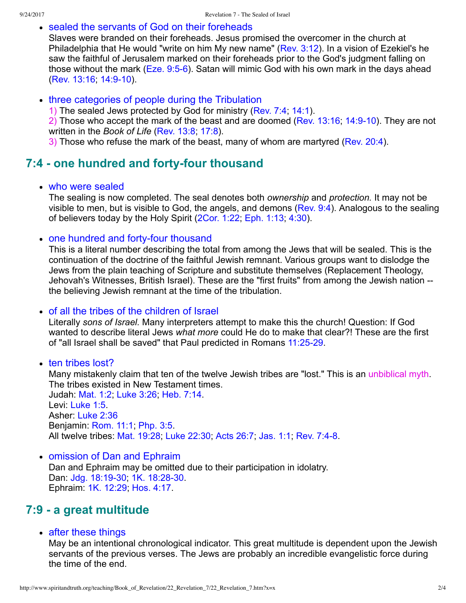#### • sealed the servants of God on their foreheads

Slaves were branded on their foreheads. Jesus promised the overcomer in the church at Philadelphia that He would "write on him My new name" [\(Rev. 3:12\)](http://www.spiritandtruth.org/bibles/nasb/b66c003.htm#Rev._C3V12). In a vision of Ezekiel's he saw the faithful of Jerusalem marked on their foreheads prior to the God's judgment falling on those without the mark [\(Eze. 9:56\)](http://www.spiritandtruth.org/bibles/nasb/b26c009.htm#Eze._C9V5). Satan will mimic God with his own mark in the days ahead (Rev. 13:16, 14:9-10).

#### • three categories of people during the Tribulation

1) The sealed Jews protected by God for ministry [\(Rev. 7:4;](http://www.spiritandtruth.org/bibles/nasb/b66c007.htm#Rev._C7V4) [14:1\)](http://www.spiritandtruth.org/bibles/nasb/b66c014.htm#Rev._C14V1).

2) Those who accept the mark of the beast and are doomed (Rev.  $13:16$ ,  $14:9-10$ ). They are not written in the *Book of Life* [\(Rev. 13:8;](http://www.spiritandtruth.org/bibles/nasb/b66c013.htm#Rev._C13V8) [17:8\)](http://www.spiritandtruth.org/bibles/nasb/b66c017.htm#Rev._C17V8).

3) Those who refuse the mark of the beast, many of whom are martyred [\(Rev. 20:4\)](http://www.spiritandtruth.org/bibles/nasb/b66c020.htm#Rev._C20V4).

# **7:4 - one hundred and forty-four thousand**

#### • who were sealed

The sealing is now completed. The seal denotes both *ownership* and *protection.* It may not be visible to men, but is visible to God, the angels, and demons [\(Rev. 9:4\)](http://www.spiritandtruth.org/bibles/nasb/b66c009.htm#Rev._C9V4). Analogous to the sealing of believers today by the Holy Spirit ([2Cor. 1:22](http://www.spiritandtruth.org/bibles/nasb/b47c001.htm#2Cor._C1V22); [Eph. 1:13](http://www.spiritandtruth.org/bibles/nasb/b49c001.htm#Eph._C1V13); [4:30](http://www.spiritandtruth.org/bibles/nasb/b49c004.htm#Eph._C4V30)).

#### • one hundred and forty-four thousand

This is a literal number describing the total from among the Jews that will be sealed. This is the continuation of the doctrine of the faithful Jewish remnant. Various groups want to dislodge the Jews from the plain teaching of Scripture and substitute themselves (Replacement Theology, Jehovah's Witnesses, British Israel). These are the "first fruits" from among the Jewish nation the believing Jewish remnant at the time of the tribulation.

#### of all the tribes of the children of Israel

Literally *sons of Israel.* Many interpreters attempt to make this the church! Question: If God wanted to describe literal Jews *what more* could He do to make that clear?! These are the first of "all Israel shall be saved" that Paul predicted in Romans 11:25-29.

• ten tribes lost?

Many mistakenly claim that ten of the twelve Jewish tribes are "lost." This is an unbiblical myth. The tribes existed in New Testament times. Judah: [Mat. 1:2;](http://www.spiritandtruth.org/bibles/nasb/b40c001.htm#Mat._C1V1) [Luke 3:26](http://www.spiritandtruth.org/bibles/nasb/b42c003.htm#Luke_C3V26); [Heb. 7:14](http://www.spiritandtruth.org/bibles/nasb/b58c007.htm#Heb._C7V14). Levi: [Luke 1:5.](http://www.spiritandtruth.org/bibles/nasb/b42c001.htm#Luke_C1V5) Asher: [Luke 2:36](http://www.spiritandtruth.org/bibles/nasb/b42c002.htm#Luke_C2V36) Benjamin: [Rom. 11:1](http://www.spiritandtruth.org/bibles/nasb/b45c011.htm#Rom._C11V1); [Php. 3:5.](http://www.spiritandtruth.org/bibles/nasb/b50c003.htm#Php._C3V5) All twelve tribes: [Mat. 19:28;](http://www.spiritandtruth.org/bibles/nasb/b40c019.htm#Mat._C19V28) [Luke 22:30;](http://www.spiritandtruth.org/bibles/nasb/b42c022.htm#Luke_C22V30) [Acts 26:7;](http://www.spiritandtruth.org/bibles/nasb/b44c026.htm#Acts_C26V7) [Jas. 1:1](http://www.spiritandtruth.org/bibles/nasb/b59c001.htm#Jas._C1V1); Rev. 7:4-8.

• omission of Dan and Ephraim

Dan and Ephraim may be omitted due to their participation in idolatry. Dan: Jdg. 18:19-30, 1K. 18:28-30. Ephraim: [1K. 12:29;](http://www.spiritandtruth.org/bibles/nasb/b11c012.htm#1K._C12V29) [Hos. 4:17.](http://www.spiritandtruth.org/bibles/nasb/b28c004.htm#Hos._C4V17)

# **7:9 a great multitude**

• after these things

May be an intentional chronological indicator. This great multitude is dependent upon the Jewish servants of the previous verses. The Jews are probably an incredible evangelistic force during the time of the end.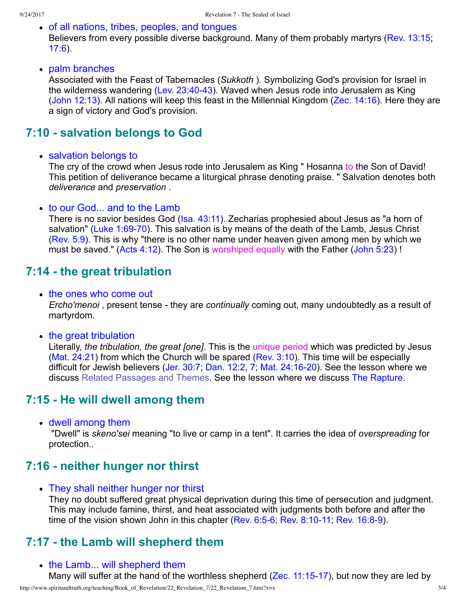- of all nations, tribes, peoples, and tonques Believers from every possible diverse background. Many of them probably martyrs [\(Rev. 13:15](http://www.spiritandtruth.org/bibles/nasb/b66c013.htm#Rev._C13V15); [17:6](http://www.spiritandtruth.org/bibles/nasb/b66c017.htm#Rev._C17V6)).
- palm branches

Associated with the Feast of Tabernacles (*Sukkoth* ). Symbolizing God's provision for Israel in the wilderness wandering (Lev.  $23:40-43$ ). Waved when Jesus rode into Jerusalem as King [\(John 12:13\)](http://www.spiritandtruth.org/bibles/nasb/b43c012.htm#John_C12V13). All nations will keep this feast in the Millennial Kingdom ([Zec. 14:16\)](http://www.spiritandtruth.org/bibles/nasb/b38c014.htm#Zec._C14V16). Here they are a sign of victory and God's provision.

### **7:10 - salvation belongs to God**

• salvation belongs to

The cry of the crowd when Jesus rode into Jerusalem as King "Hosanna to the Son of David! This petition of deliverance became a liturgical phrase denoting praise. " Salvation denotes both *deliverance* and *preservation* .

#### • to our God... and to the Lamb

There is no savior besides God [\(Isa. 43:11](http://www.spiritandtruth.org/bibles/nasb/b23c043.htm#Isa._C43V11)). Zecharias prophesied about Jesus as "a horn of salvation" (Luke 1:69-70). This salvation is by means of the death of the Lamb, Jesus Christ [\(Rev. 5:9\)](http://www.spiritandtruth.org/bibles/nasb/b66c005.htm#Rev._C5V9). This is why "there is no other name under heaven given among men by which we must be saved." [\(Acts 4:12](http://www.spiritandtruth.org/bibles/nasb/b44c004.htm#Acts_C4V12)). The Son is worshiped equally with the Father ([John 5:23](http://www.spiritandtruth.org/bibles/nasb/b43c005.htm#John_C5V23)) !

### **7:14 the great tribulation**

- the ones who come out *Ercho'menoi*, present tense - they are *continually* coming out, many undoubtedly as a result of martyrdom.
- the great tribulation

Literally, *the tribulation, the great [one]*. This is the unique period which was predicted by Jesus (Mat.  $24:21$ ) from which the Church will be spared (Rev.  $3:10$ ). This time will be especially difficult for Jewish believers [\(Jer. 30:7;](http://www.spiritandtruth.org/bibles/nasb/b24c030.htm#Jer._C30V7) [Dan. 12:2](http://www.spiritandtruth.org/bibles/nasb/b27c012.htm#Dan._C12V1), [7;](http://www.spiritandtruth.org/bibles/nasb/b27c012.htm#Dan._C12V7) Mat. 24:16-20). See the lesson where we discuss [Related Passages and Themes.](http://www.spiritandtruth.org/teaching/Book_of_Revelation/09_introduction/index.htm) See the lesson where we discuss [The Rapture](http://www.spiritandtruth.org/teaching/Book_of_Revelation/19_revelation_4/index.htm).

### **7:15 He will dwell among them**

dwell among them

 "Dwell" is *skeno'sei* meaning "to live or camp in a tent". It carries the idea of *overspreading* for protection..

### **7:16 neither hunger nor thirst**

• They shall neither hunger nor thirst They no doubt suffered great physical deprivation during this time of persecution and judgment. This may include famine, thirst, and heat associated with judgments both before and after the time of the vision shown John in this chapter (Rev.  $6.5-6$ , Rev.  $8.10-11$ , Rev.  $16.8-9$ ).

### **7:17 the Lamb will shepherd them**

• the Lamb... will shepherd them Many will suffer at the hand of the worthless shepherd ( $\text{Zec. } 11:15-17$ ), but now they are led by